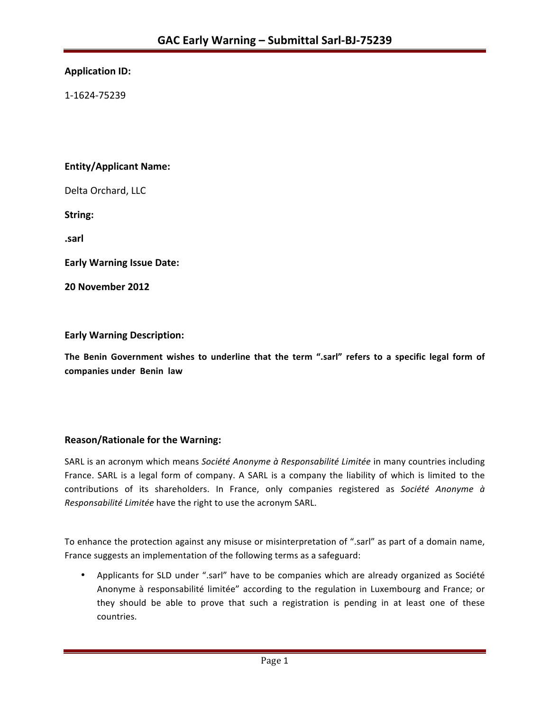# **Application ID:**

1-1624-75239 

# **Entity/Applicant Name:**

Delta Orchard, LLC

**String:** 

**.sarl**

**Early Warning Issue Date:** 

**20 November 2012**

#### **Early Warning Description:**

**The Benin Government wishes to underline that the term ".sarl" refers to a specific legal form of companies under Benin law**

# **Reason/Rationale for the Warning:**

SARL is an acronym which means Société Anonyme à Responsabilité Limitée in many countries including France. SARL is a legal form of company. A SARL is a company the liability of which is limited to the contributions of its shareholders. In France, only companies registered as Société Anonyme à *Responsabilité Limitée* have the right to use the acronym SARL.

To enhance the protection against any misuse or misinterpretation of ".sarl" as part of a domain name, France suggests an implementation of the following terms as a safeguard:

• Applicants for SLD under ".sarl" have to be companies which are already organized as Société Anonyme à responsabilité limitée" according to the regulation in Luxembourg and France; or they should be able to prove that such a registration is pending in at least one of these countries.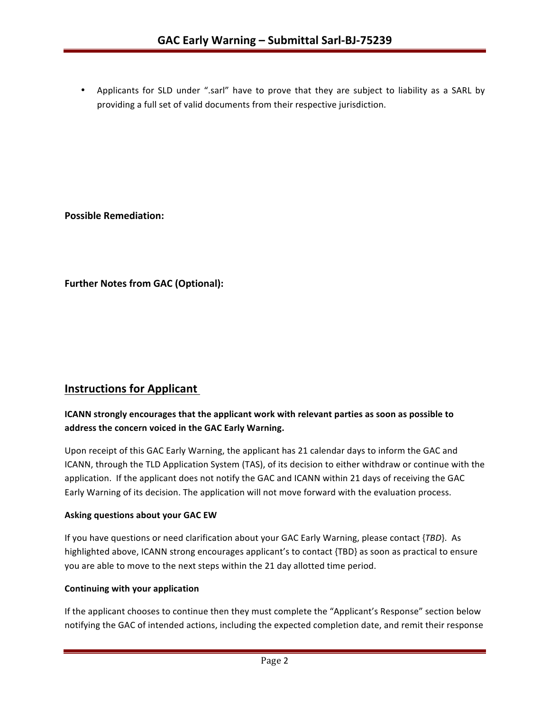• Applicants for SLD under ".sarl" have to prove that they are subject to liability as a SARL by providing a full set of valid documents from their respective jurisdiction.

**Possible Remediation:**

**Further Notes from GAC (Optional):** 

# **Instructions for Applicant**

# **ICANN** strongly encourages that the applicant work with relevant parties as soon as possible to address the concern voiced in the GAC Early Warning.

Upon receipt of this GAC Early Warning, the applicant has 21 calendar days to inform the GAC and ICANN, through the TLD Application System (TAS), of its decision to either withdraw or continue with the application. If the applicant does not notify the GAC and ICANN within 21 days of receiving the GAC Early Warning of its decision. The application will not move forward with the evaluation process.

#### **Asking questions about your GAC EW**

If you have questions or need clarification about your GAC Early Warning, please contact {*TBD*}. As highlighted above, ICANN strong encourages applicant's to contact {TBD} as soon as practical to ensure you are able to move to the next steps within the 21 day allotted time period.

#### **Continuing with your application**

If the applicant chooses to continue then they must complete the "Applicant's Response" section below notifying the GAC of intended actions, including the expected completion date, and remit their response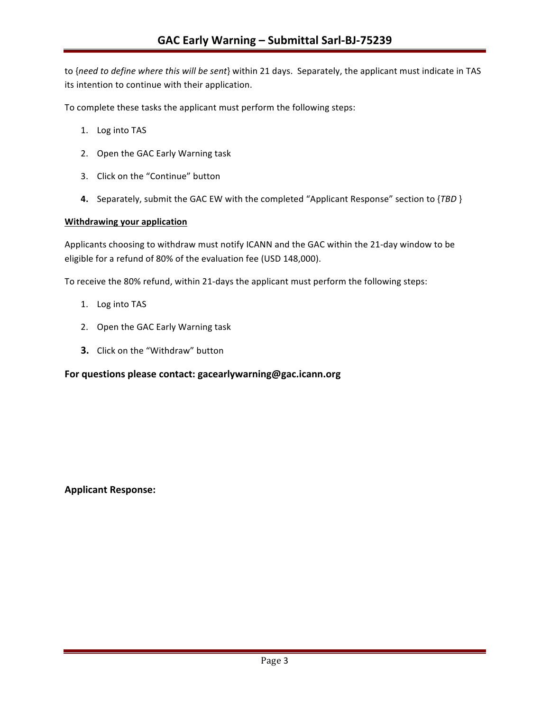to {need to define where this will be sent} within 21 days. Separately, the applicant must indicate in TAS its intention to continue with their application.

To complete these tasks the applicant must perform the following steps:

- 1. Log into TAS
- 2. Open the GAC Early Warning task
- 3. Click on the "Continue" button
- **4.** Separately, submit the GAC EW with the completed "Applicant Response" section to {*TBD* }

#### **Withdrawing your application**

Applicants choosing to withdraw must notify ICANN and the GAC within the 21-day window to be eligible for a refund of 80% of the evaluation fee (USD 148,000).

To receive the 80% refund, within 21-days the applicant must perform the following steps:

- 1. Log into TAS
- 2. Open the GAC Early Warning task
- **3.** Click on the "Withdraw" button

#### For questions please contact: gacearlywarning@gac.icann.org

#### **Applicant Response:**